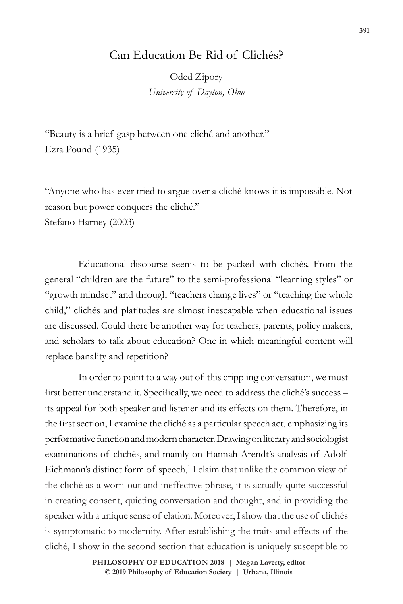# Can Education Be Rid of Clichés?

Oded Zipory *University of Dayton, Ohio*

"Beauty is a brief gasp between one cliché and another." Ezra Pound (1935)

"Anyone who has ever tried to argue over a cliché knows it is impossible. Not reason but power conquers the cliché." Stefano Harney (2003)

Educational discourse seems to be packed with clichés. From the general "children are the future" to the semi-professional "learning styles" or "growth mindset" and through "teachers change lives" or "teaching the whole child," clichés and platitudes are almost inescapable when educational issues are discussed. Could there be another way for teachers, parents, policy makers, and scholars to talk about education? One in which meaningful content will replace banality and repetition?

In order to point to a way out of this crippling conversation, we must first better understand it. Specifically, we need to address the cliché's success – its appeal for both speaker and listener and its effects on them. Therefore, in the first section, I examine the cliché as a particular speech act, emphasizing its performative function and modern character. Drawing on literary and sociologist examinations of clichés, and mainly on Hannah Arendt's analysis of Adolf Eichmann's distinct form of speech,<sup>1</sup> I claim that unlike the common view of the cliché as a worn-out and ineffective phrase, it is actually quite successful in creating consent, quieting conversation and thought, and in providing the speaker with a unique sense of elation. Moreover, I show that the use of clichés is symptomatic to modernity. After establishing the traits and effects of the cliché, I show in the second section that education is uniquely susceptible to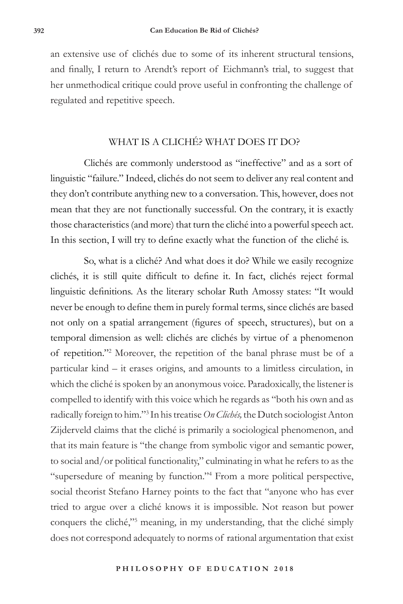an extensive use of clichés due to some of its inherent structural tensions, and finally, I return to Arendt's report of Eichmann's trial, to suggest that her unmethodical critique could prove useful in confronting the challenge of regulated and repetitive speech.

# WHAT IS A CLICHÉ? WHAT DOES IT DO?

Clichés are commonly understood as "ineffective" and as a sort of linguistic "failure." Indeed, clichés do not seem to deliver any real content and they don't contribute anything new to a conversation. This, however, does not mean that they are not functionally successful. On the contrary, it is exactly those characteristics (and more) that turn the cliché into a powerful speech act. In this section, I will try to define exactly what the function of the cliché is.

So, what is a cliché? And what does it do? While we easily recognize clichés, it is still quite difficult to define it. In fact, clichés reject formal linguistic definitions. As the literary scholar Ruth Amossy states: "It would never be enough to define them in purely formal terms, since clichés are based not only on a spatial arrangement (figures of speech, structures), but on a temporal dimension as well: clichés are clichés by virtue of a phenomenon of repetition."2 Moreover, the repetition of the banal phrase must be of a particular kind – it erases origins, and amounts to a limitless circulation, in which the cliché is spoken by an anonymous voice. Paradoxically, the listener is compelled to identify with this voice which he regards as "both his own and as radically foreign to him."3 In his treatise *On Clichés,* the Dutch sociologist Anton Zijderveld claims that the cliché is primarily a sociological phenomenon, and that its main feature is "the change from symbolic vigor and semantic power, to social and/or political functionality," culminating in what he refers to as the "supersedure of meaning by function."4 From a more political perspective, social theorist Stefano Harney points to the fact that "anyone who has ever tried to argue over a cliché knows it is impossible. Not reason but power conquers the cliché,"5 meaning, in my understanding, that the cliché simply does not correspond adequately to norms of rational argumentation that exist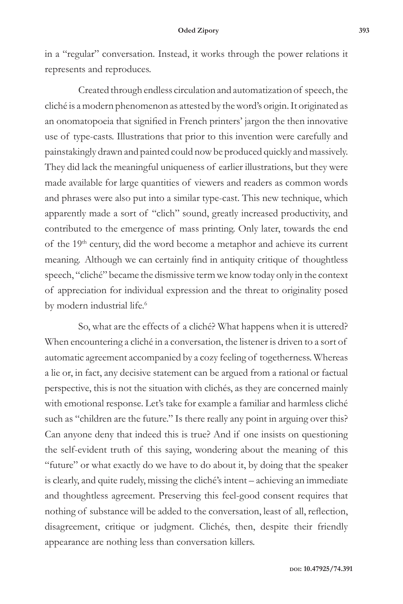in a "regular" conversation. Instead, it works through the power relations it represents and reproduces.

Created through endless circulation and automatization of speech, the cliché is a modern phenomenon as attested by the word's origin. It originated as an onomatopoeia that signified in French printers' jargon the then innovative use of type-casts. Illustrations that prior to this invention were carefully and painstakingly drawn and painted could now be produced quickly and massively. They did lack the meaningful uniqueness of earlier illustrations, but they were made available for large quantities of viewers and readers as common words and phrases were also put into a similar type-cast. This new technique, which apparently made a sort of "clich" sound, greatly increased productivity, and contributed to the emergence of mass printing. Only later, towards the end of the 19<sup>th</sup> century, did the word become a metaphor and achieve its current meaning. Although we can certainly find in antiquity critique of thoughtless speech, "cliché" became the dismissive term we know today only in the context of appreciation for individual expression and the threat to originality posed by modern industrial life.<sup>6</sup>

So, what are the effects of a cliché? What happens when it is uttered? When encountering a cliché in a conversation, the listener is driven to a sort of automatic agreement accompanied by a cozy feeling of togetherness. Whereas a lie or, in fact, any decisive statement can be argued from a rational or factual perspective, this is not the situation with clichés, as they are concerned mainly with emotional response. Let's take for example a familiar and harmless cliché such as "children are the future." Is there really any point in arguing over this? Can anyone deny that indeed this is true? And if one insists on questioning the self-evident truth of this saying, wondering about the meaning of this "future" or what exactly do we have to do about it, by doing that the speaker is clearly, and quite rudely, missing the cliché's intent – achieving an immediate and thoughtless agreement. Preserving this feel-good consent requires that nothing of substance will be added to the conversation, least of all, reflection, disagreement, critique or judgment. Clichés, then, despite their friendly appearance are nothing less than conversation killers.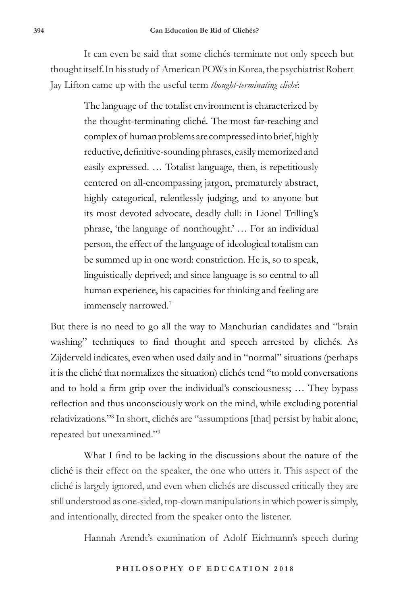It can even be said that some clichés terminate not only speech but thought itself.In his study of American POWs in Korea, the psychiatrist Robert Jay Lifton came up with the useful term *thought-terminating cliché*:

> The language of the totalist environment is characterized by the thought-terminating cliché. The most far-reaching and complex of human problems are compressed into brief, highly reductive, definitive-sounding phrases, easily memorized and easily expressed. … Totalist language, then, is repetitiously centered on all-encompassing jargon, prematurely abstract, highly categorical, relentlessly judging, and to anyone but its most devoted advocate, deadly dull: in Lionel Trilling's phrase, 'the language of nonthought.' … For an individual person, the effect of the language of ideological totalism can be summed up in one word: constriction. He is, so to speak, linguistically deprived; and since language is so central to all human experience, his capacities for thinking and feeling are immensely narrowed.7

But there is no need to go all the way to Manchurian candidates and "brain washing" techniques to find thought and speech arrested by clichés. As Zijderveld indicates, even when used daily and in "normal" situations (perhaps it is the cliché that normalizes the situation) clichés tend "to mold conversations and to hold a firm grip over the individual's consciousness; … They bypass reflection and thus unconsciously work on the mind, while excluding potential relativizations."8 In short, clichés are "assumptions [that] persist by habit alone, repeated but unexamined."<sup>9</sup>

What I find to be lacking in the discussions about the nature of the cliché is their effect on the speaker, the one who utters it. This aspect of the cliché is largely ignored, and even when clichés are discussed critically they are still understood as one-sided, top-down manipulations in which power is simply, and intentionally, directed from the speaker onto the listener.

Hannah Arendt's examination of Adolf Eichmann's speech during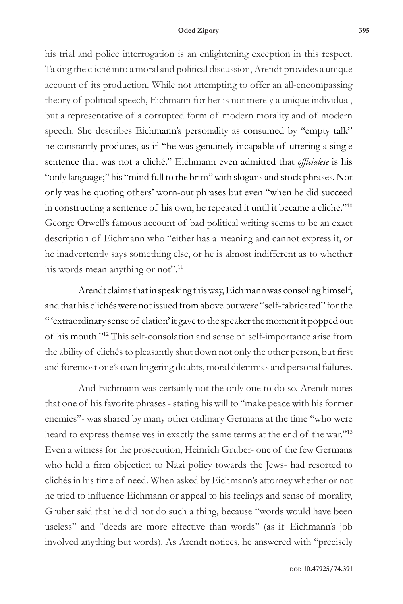#### **Oded Zipory 395**

his trial and police interrogation is an enlightening exception in this respect. Taking the cliché into a moral and political discussion, Arendt provides a unique account of its production. While not attempting to offer an all-encompassing theory of political speech, Eichmann for her is not merely a unique individual, but a representative of a corrupted form of modern morality and of modern speech. She describes Eichmann's personality as consumed by "empty talk" he constantly produces, as if "he was genuinely incapable of uttering a single sentence that was not a cliché." Eichmann even admitted that *officialese* is his "only language;" his "mind full to the brim" with slogans and stock phrases. Not only was he quoting others' worn-out phrases but even "when he did succeed in constructing a sentence of his own, he repeated it until it became a cliché."10 George Orwell's famous account of bad political writing seems to be an exact description of Eichmann who "either has a meaning and cannot express it, or he inadvertently says something else, or he is almost indifferent as to whether his words mean anything or not".<sup>11</sup>

Arendt claims that in speaking this way, Eichmann was consoling himself, and that his clichés were not issued from above but were "self-fabricated" for the " 'extraordinary sense of elation' it gave to the speaker the moment it popped out of his mouth."12 This self-consolation and sense of self-importance arise from the ability of clichés to pleasantly shut down not only the other person, but first and foremost one's own lingering doubts, moral dilemmas and personal failures.

And Eichmann was certainly not the only one to do so. Arendt notes that one of his favorite phrases - stating his will to "make peace with his former enemies"- was shared by many other ordinary Germans at the time "who were heard to express themselves in exactly the same terms at the end of the war."<sup>13</sup> Even a witness for the prosecution, Heinrich Gruber- one of the few Germans who held a firm objection to Nazi policy towards the Jews- had resorted to clichés in his time of need. When asked by Eichmann's attorney whether or not he tried to influence Eichmann or appeal to his feelings and sense of morality, Gruber said that he did not do such a thing, because "words would have been useless" and "deeds are more effective than words" (as if Eichmann's job involved anything but words). As Arendt notices, he answered with "precisely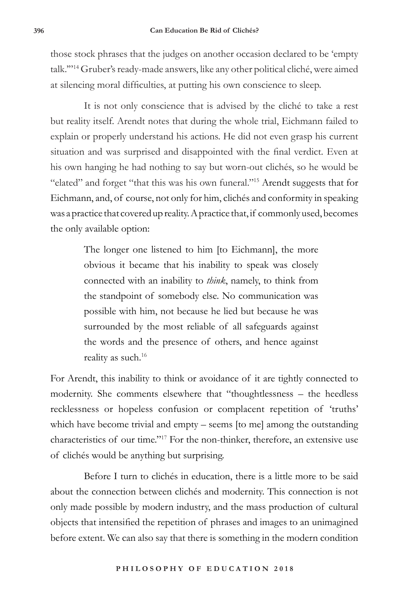those stock phrases that the judges on another occasion declared to be 'empty talk.'"<sup>14</sup> Gruber's ready-made answers, like any other political cliché, were aimed at silencing moral difficulties, at putting his own conscience to sleep.

It is not only conscience that is advised by the cliché to take a rest but reality itself. Arendt notes that during the whole trial, Eichmann failed to explain or properly understand his actions. He did not even grasp his current situation and was surprised and disappointed with the final verdict. Even at his own hanging he had nothing to say but worn-out clichés, so he would be "elated" and forget "that this was his own funeral."15 Arendt suggests that for Eichmann, and, of course, not only for him, clichés and conformity in speaking was a practice that covered up reality. A practice that, if commonly used, becomes the only available option:

> The longer one listened to him [to Eichmann], the more obvious it became that his inability to speak was closely connected with an inability to *think*, namely, to think from the standpoint of somebody else. No communication was possible with him, not because he lied but because he was surrounded by the most reliable of all safeguards against the words and the presence of others, and hence against reality as such.<sup>16</sup>

For Arendt, this inability to think or avoidance of it are tightly connected to modernity. She comments elsewhere that "thoughtlessness – the heedless recklessness or hopeless confusion or complacent repetition of 'truths' which have become trivial and empty – seems [to me] among the outstanding characteristics of our time."17 For the non-thinker, therefore, an extensive use of clichés would be anything but surprising.

Before I turn to clichés in education, there is a little more to be said about the connection between clichés and modernity. This connection is not only made possible by modern industry, and the mass production of cultural objects that intensified the repetition of phrases and images to an unimagined before extent. We can also say that there is something in the modern condition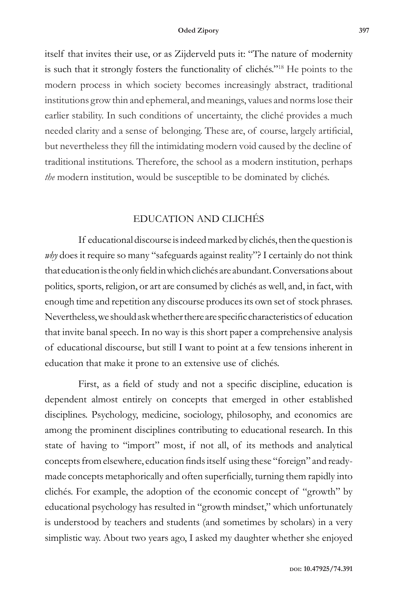itself that invites their use, or as Zijderveld puts it: "The nature of modernity is such that it strongly fosters the functionality of clichés."18 He points to the modern process in which society becomes increasingly abstract, traditional institutions grow thin and ephemeral, and meanings, values and norms lose their earlier stability. In such conditions of uncertainty, the cliché provides a much needed clarity and a sense of belonging. These are, of course, largely artificial, but nevertheless they fill the intimidating modern void caused by the decline of traditional institutions. Therefore, the school as a modern institution, perhaps *the* modern institution, would be susceptible to be dominated by clichés.

## EDUCATION AND CLICHÉS

If educational discourse is indeed marked by clichés, then the question is why does it require so many "safeguards against reality"? I certainly do not think that education is the only field in which clichés are abundant. Conversations about politics, sports, religion, or art are consumed by clichés as well, and, in fact, with enough time and repetition any discourse produces its own set of stock phrases. Nevertheless, we should ask whether there are specific characteristics of education that invite banal speech. In no way is this short paper a comprehensive analysis of educational discourse, but still I want to point at a few tensions inherent in education that make it prone to an extensive use of clichés.

First, as a field of study and not a specific discipline, education is dependent almost entirely on concepts that emerged in other established disciplines. Psychology, medicine, sociology, philosophy, and economics are among the prominent disciplines contributing to educational research. In this state of having to "import" most, if not all, of its methods and analytical concepts from elsewhere, education finds itself using these "foreign" and readymade concepts metaphorically and often superficially, turning them rapidly into clichés. For example, the adoption of the economic concept of "growth" by educational psychology has resulted in "growth mindset," which unfortunately is understood by teachers and students (and sometimes by scholars) in a very simplistic way. About two years ago, I asked my daughter whether she enjoyed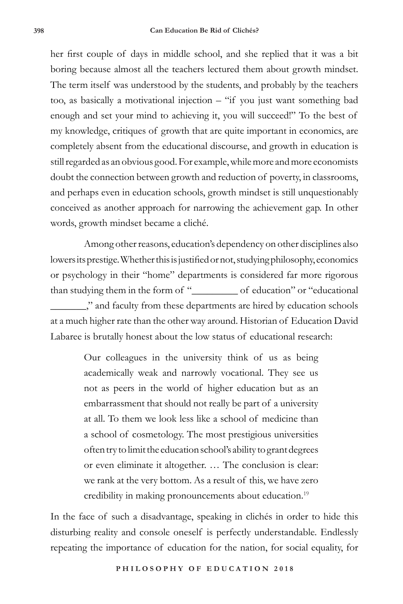her first couple of days in middle school, and she replied that it was a bit boring because almost all the teachers lectured them about growth mindset. The term itself was understood by the students, and probably by the teachers too, as basically a motivational injection – "if you just want something bad enough and set your mind to achieving it, you will succeed!" To the best of my knowledge, critiques of growth that are quite important in economics, are completely absent from the educational discourse, and growth in education is still regarded as an obvious good. For example, while more and more economists doubt the connection between growth and reduction of poverty, in classrooms, and perhaps even in education schools, growth mindset is still unquestionably conceived as another approach for narrowing the achievement gap. In other words, growth mindset became a cliché.

Among other reasons, education's dependency on other disciplines also lowers its prestige. Whether this is justified or not, studying philosophy, economics or psychology in their "home" departments is considered far more rigorous than studying them in the form of "\_\_\_\_\_\_\_\_\_ of education" or "educational \_\_\_\_\_\_\_," and faculty from these departments are hired by education schools at a much higher rate than the other way around. Historian of Education David Labaree is brutally honest about the low status of educational research:

> Our colleagues in the university think of us as being academically weak and narrowly vocational. They see us not as peers in the world of higher education but as an embarrassment that should not really be part of a university at all. To them we look less like a school of medicine than a school of cosmetology. The most prestigious universities often try to limit the education school's ability to grant degrees or even eliminate it altogether. … The conclusion is clear: we rank at the very bottom. As a result of this, we have zero credibility in making pronouncements about education.<sup>19</sup>

In the face of such a disadvantage, speaking in clichés in order to hide this disturbing reality and console oneself is perfectly understandable. Endlessly repeating the importance of education for the nation, for social equality, for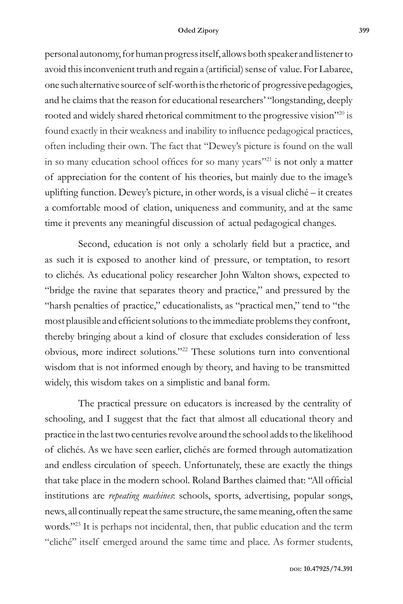personal autonomy, for human progress itself, allows both speaker and listener to avoid this inconvenient truth and regain a (artificial) sense of value. For Labaree, one such alternative source of self-worth is the rhetoric of progressive pedagogies, and he claims that the reason for educational researchers' "longstanding, deeply rooted and widely shared rhetorical commitment to the progressive vision"<sup>20</sup> is found exactly in their weakness and inability to influence pedagogical practices, often including their own. The fact that "Dewey's picture is found on the wall in so many education school offices for so many years"<sup>21</sup> is not only a matter of appreciation for the content of his theories, but mainly due to the image's uplifting function. Dewey's picture, in other words, is a visual cliché – it creates a comfortable mood of elation, uniqueness and community, and at the same time it prevents any meaningful discussion of actual pedagogical changes.

Second, education is not only a scholarly field but a practice, and as such it is exposed to another kind of pressure, or temptation, to resort to clichés. As educational policy researcher John Walton shows, expected to "bridge the ravine that separates theory and practice," and pressured by the "harsh penalties of practice," educationalists, as "practical men," tend to "the most plausible and efficient solutions to the immediate problems they confront, thereby bringing about a kind of closure that excludes consideration of less obvious, more indirect solutions."22 These solutions turn into conventional wisdom that is not informed enough by theory, and having to be transmitted widely, this wisdom takes on a simplistic and banal form.

The practical pressure on educators is increased by the centrality of schooling, and I suggest that the fact that almost all educational theory and practice in the last two centuries revolve around the school adds to the likelihood of clichés. As we have seen earlier, clichés are formed through automatization and endless circulation of speech. Unfortunately, these are exactly the things that take place in the modern school. Roland Barthes claimed that: "All official institutions are *repeating machines*: schools, sports, advertising, popular songs, news, all continually repeat the same structure, the same meaning, often the same words."<sup>23</sup> It is perhaps not incidental, then, that public education and the term "cliché" itself emerged around the same time and place. As former students,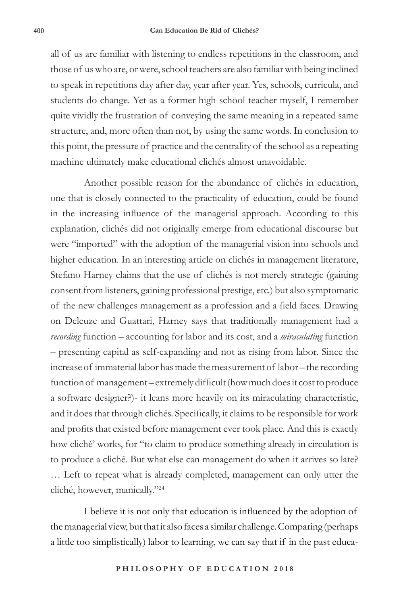all of us are familiar with listening to endless repetitions in the classroom, and those of us who are, or were, school teachers are also familiar with being inclined to speak in repetitions day after day, year after year. Yes, schools, curricula, and students do change. Yet as a former high school teacher myself, I remember quite vividly the frustration of conveying the same meaning in a repeated same structure, and, more often than not, by using the same words. In conclusion to this point, the pressure of practice and the centrality of the school as a repeating machine ultimately make educational clichés almost unavoidable.

Another possible reason for the abundance of clichés in education, one that is closely connected to the practicality of education, could be found in the increasing influence of the managerial approach. According to this explanation, clichés did not originally emerge from educational discourse but were "imported" with the adoption of the managerial vision into schools and higher education. In an interesting article on clichés in management literature, Stefano Harney claims that the use of clichés is not merely strategic (gaining consent from listeners, gaining professional prestige, etc.) but also symptomatic of the new challenges management as a profession and a field faces. Drawing on Deleuze and Guattari, Harney says that traditionally management had a *recording* function – accounting for labor and its cost, and a *miraculating* function – presenting capital as self-expanding and not as rising from labor. Since the increase of immaterial labor has made the measurement of labor – the recording function of management – extremely difficult (how much does it cost to produce a software designer?)- it leans more heavily on its miraculating characteristic, and it does that through clichés. Specifically, it claims to be responsible for work and profits that existed before management ever took place. And this is exactly how cliché' works, for "to claim to produce something already in circulation is to produce a cliché. But what else can management do when it arrives so late? … Left to repeat what is already completed, management can only utter the cliché, however, manically."24

I believe it is not only that education is influenced by the adoption of the managerial view, but that it also faces a similar challenge. Comparing (perhaps a little too simplistically) labor to learning, we can say that if in the past educa-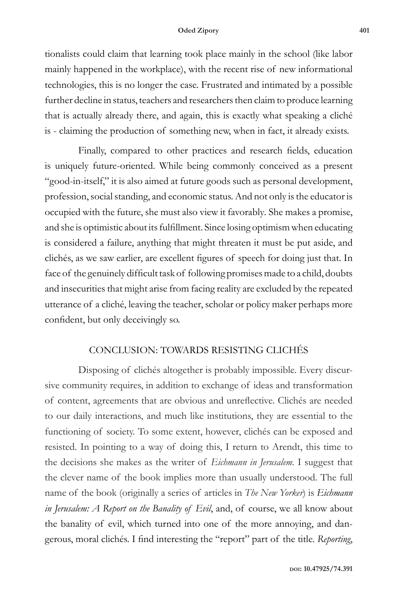#### **Oded Zipory 401**

tionalists could claim that learning took place mainly in the school (like labor mainly happened in the workplace), with the recent rise of new informational technologies, this is no longer the case. Frustrated and intimated by a possible further decline in status, teachers and researchers then claim to produce learning that is actually already there, and again, this is exactly what speaking a cliché is - claiming the production of something new, when in fact, it already exists.

Finally, compared to other practices and research fields, education is uniquely future-oriented. While being commonly conceived as a present "good-in-itself," it is also aimed at future goods such as personal development, profession, social standing, and economic status. And not only is the educator is occupied with the future, she must also view it favorably*.* She makes a promise, and she is optimistic about its fulfillment. Since losing optimism when educating is considered a failure, anything that might threaten it must be put aside, and clichés, as we saw earlier, are excellent figures of speech for doing just that. In face of the genuinely difficult task of following promises made to a child, doubts and insecurities that might arise from facing reality are excluded by the repeated utterance of a cliché, leaving the teacher, scholar or policy maker perhaps more confident, but only deceivingly so.

## CONCLUSION: TOWARDS RESISTING CLICHÉS

Disposing of clichés altogether is probably impossible. Every discursive community requires, in addition to exchange of ideas and transformation of content, agreements that are obvious and unreflective. Clichés are needed to our daily interactions, and much like institutions, they are essential to the functioning of society. To some extent, however, clichés can be exposed and resisted. In pointing to a way of doing this, I return to Arendt, this time to the decisions she makes as the writer of *Eichmann in Jerusalem.* I suggest that the clever name of the book implies more than usually understood. The full name of the book (originally a series of articles in *The New Yorker*) is *Eichmann in Jerusalem: A Report on the Banality of Evil*, and, of course, we all know about the banality of evil, which turned into one of the more annoying, and dangerous, moral clichés. I find interesting the "report" part of the title. *Reporting*,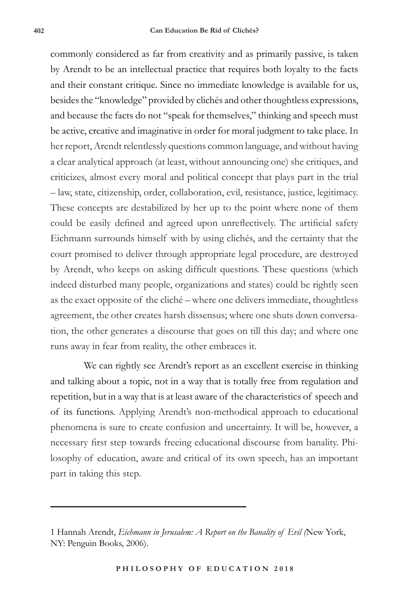commonly considered as far from creativity and as primarily passive, is taken by Arendt to be an intellectual practice that requires both loyalty to the facts and their constant critique. Since no immediate knowledge is available for us, besides the "knowledge" provided by clichés and other thoughtless expressions, and because the facts do not "speak for themselves," thinking and speech must be active, creative and imaginative in order for moral judgment to take place. In her report, Arendt relentlessly questions common language, and without having a clear analytical approach (at least, without announcing one) she critiques, and criticizes, almost every moral and political concept that plays part in the trial – law, state, citizenship, order, collaboration, evil, resistance, justice, legitimacy. These concepts are destabilized by her up to the point where none of them could be easily defined and agreed upon unreflectively. The artificial safety Eichmann surrounds himself with by using clichés, and the certainty that the court promised to deliver through appropriate legal procedure, are destroyed by Arendt, who keeps on asking difficult questions. These questions (which indeed disturbed many people, organizations and states) could be rightly seen as the exact opposite of the cliché – where one delivers immediate, thoughtless agreement, the other creates harsh dissensus; where one shuts down conversation, the other generates a discourse that goes on till this day; and where one runs away in fear from reality, the other embraces it.

We can rightly see Arendt's report as an excellent exercise in thinking and talking about a topic, not in a way that is totally free from regulation and repetition, but in a way that is at least aware of the characteristics of speech and of its functions. Applying Arendt's non-methodical approach to educational phenomena is sure to create confusion and uncertainty. It will be, however, a necessary first step towards freeing educational discourse from banality. Philosophy of education, aware and critical of its own speech, has an important part in taking this step.

<sup>1</sup> Hannah Arendt, *Eichmann in Jerusalem: A Report on the Banality of Evil (*New York, NY: Penguin Books, 2006).